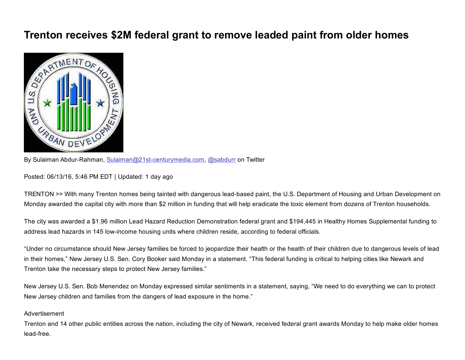## Trenton receives \$2M federal grant to remove leaded paint from older homes



By Sulaiman Abdur-Rahman, Sulaiman@21st-centurymedia.com, [@sabdurr](http://twitter.com/sabdurr) on Twitter

Posted: 06/13/16, 5:46 PM EDT | Updated: 1 day ago

TRENTON >> With many Trenton homes being tainted with dangerous lead-based paint, the U.S. Department of Housing and Urban Development on Monday awarded the capital city with more than \$2 million in funding that will help eradicate the toxic element from dozens of Trenton households.

The city was awarded a \$1.96 million Lead Hazard Reduction Demonstration federal grant and \$194,445 in Healthy Homes Supplemental funding to address lead hazards in 145 low-income housing units where children reside, according to federal officials.

"Under no circumstance should New Jersey families be forced to jeopardize their health or the health of their children due to dangerous levels of lead in their homes," New Jersey U.S. Sen. Cory Booker said Monday in a statement. "This federal funding is critical to helping cities like Newark and Trenton take the necessary steps to protect New Jersey families."

New Jersey U.S. Sen. Bob Menendez on Monday expressed similar sentiments in a statement, saying, "We need to do everything we can to protect New Jersey children and families from the dangers of lead exposure in the home."

## Advertisement

Trenton and 14 other public entities across the nation, including the city of Newark, received federal grant awards Monday to help make older homes lead-free.